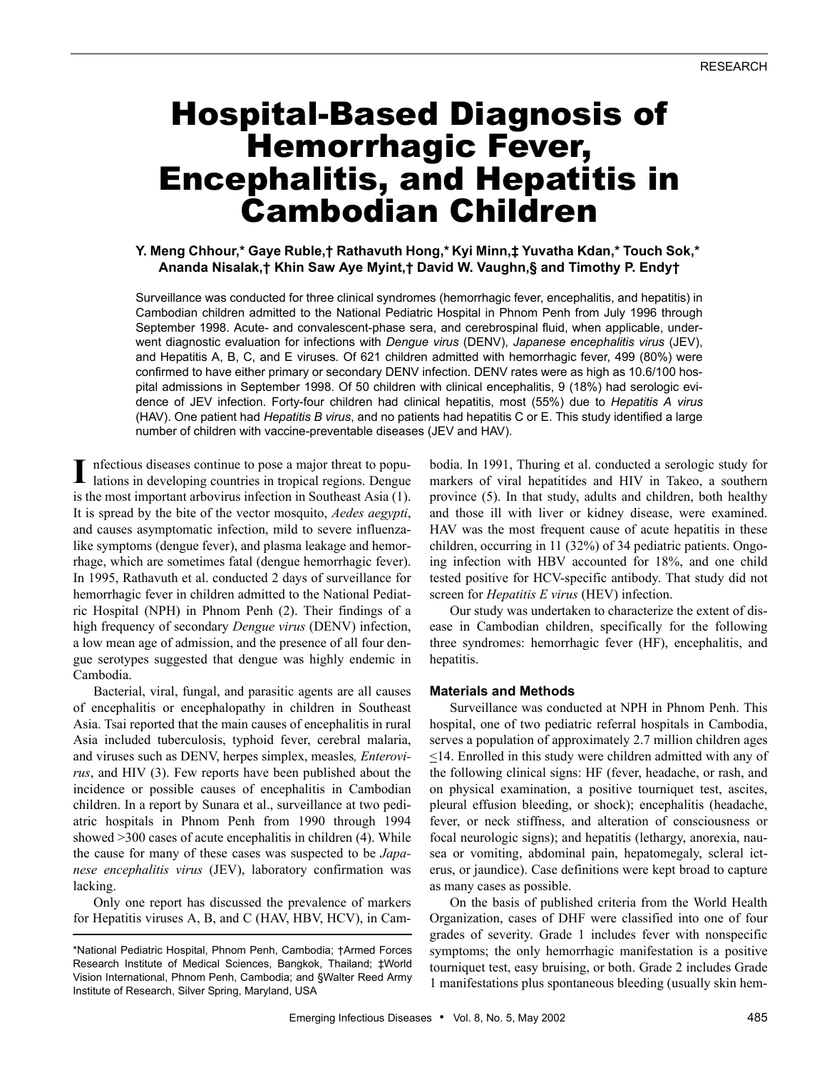# Hospital-Based Diagnosis of Hemorrhagic Fever, Encephalitis, and Hepatitis in Cambodian Children

## **Y. Meng Chhour,\* Gaye Ruble,† Rathavuth Hong,\* Kyi Minn,‡ Yuvatha Kdan,\* Touch Sok,\* Ananda Nisalak,† Khin Saw Aye Myint,† David W. Vaughn,§ and Timothy P. Endy†**

Surveillance was conducted for three clinical syndromes (hemorrhagic fever, encephalitis, and hepatitis) in Cambodian children admitted to the National Pediatric Hospital in Phnom Penh from July 1996 through September 1998. Acute- and convalescent-phase sera, and cerebrospinal fluid, when applicable, underwent diagnostic evaluation for infections with *Dengue virus* (DENV), *Japanese encephalitis virus* (JEV), and Hepatitis A, B, C, and E viruses. Of 621 children admitted with hemorrhagic fever, 499 (80%) were confirmed to have either primary or secondary DENV infection. DENV rates were as high as 10.6/100 hospital admissions in September 1998. Of 50 children with clinical encephalitis, 9 (18%) had serologic evidence of JEV infection. Forty-four children had clinical hepatitis, most (55%) due to *Hepatitis A virus* (HAV). One patient had *Hepatitis B virus*, and no patients had hepatitis C or E. This study identified a large number of children with vaccine-preventable diseases (JEV and HAV).

nfectious diseases continue to pose a major threat to populations in developing countries in tropical regions. Dengue is the most important arbovirus infection in Southeast Asia (1). It is spread by the bite of the vector mosquito, *Aedes aegypti*, and causes asymptomatic infection, mild to severe influenzalike symptoms (dengue fever), and plasma leakage and hemorrhage, which are sometimes fatal (dengue hemorrhagic fever). In 1995, Rathavuth et al. conducted 2 days of surveillance for hemorrhagic fever in children admitted to the National Pediatric Hospital (NPH) in Phnom Penh (2). Their findings of a high frequency of secondary *Dengue virus* (DENV) infection, a low mean age of admission, and the presence of all four dengue serotypes suggested that dengue was highly endemic in Cambodia. **I**

Bacterial, viral, fungal, and parasitic agents are all causes of encephalitis or encephalopathy in children in Southeast Asia. Tsai reported that the main causes of encephalitis in rural Asia included tuberculosis, typhoid fever, cerebral malaria, and viruses such as DENV, herpes simplex, measles*, Enterovirus*, and HIV (3). Few reports have been published about the incidence or possible causes of encephalitis in Cambodian children. In a report by Sunara et al., surveillance at two pediatric hospitals in Phnom Penh from 1990 through 1994 showed >300 cases of acute encephalitis in children (4). While the cause for many of these cases was suspected to be *Japanese encephalitis virus* (JEV), laboratory confirmation was lacking.

Only one report has discussed the prevalence of markers for Hepatitis viruses A, B, and C (HAV, HBV, HCV), in Cambodia. In 1991, Thuring et al. conducted a serologic study for markers of viral hepatitides and HIV in Takeo, a southern province (5). In that study, adults and children, both healthy and those ill with liver or kidney disease, were examined. HAV was the most frequent cause of acute hepatitis in these children, occurring in 11 (32%) of 34 pediatric patients. Ongoing infection with HBV accounted for 18%, and one child tested positive for HCV-specific antibody. That study did not screen for *Hepatitis E virus* (HEV) infection.

Our study was undertaken to characterize the extent of disease in Cambodian children, specifically for the following three syndromes: hemorrhagic fever (HF), encephalitis, and hepatitis.

## **Materials and Methods**

Surveillance was conducted at NPH in Phnom Penh. This hospital, one of two pediatric referral hospitals in Cambodia, serves a population of approximately 2.7 million children ages  $\leq$ 14. Enrolled in this study were children admitted with any of the following clinical signs: HF (fever, headache, or rash, and on physical examination, a positive tourniquet test, ascites, pleural effusion bleeding, or shock); encephalitis (headache, fever, or neck stiffness, and alteration of consciousness or focal neurologic signs); and hepatitis (lethargy, anorexia, nausea or vomiting, abdominal pain, hepatomegaly, scleral icterus, or jaundice). Case definitions were kept broad to capture as many cases as possible.

On the basis of published criteria from the World Health Organization, cases of DHF were classified into one of four grades of severity. Grade 1 includes fever with nonspecific symptoms; the only hemorrhagic manifestation is a positive tourniquet test, easy bruising, or both. Grade 2 includes Grade 1 manifestations plus spontaneous bleeding (usually skin hem-

<sup>\*</sup>National Pediatric Hospital, Phnom Penh, Cambodia; †Armed Forces Research Institute of Medical Sciences, Bangkok, Thailand; ‡World Vision International, Phnom Penh, Cambodia; and §Walter Reed Army Institute of Research, Silver Spring, Maryland, USA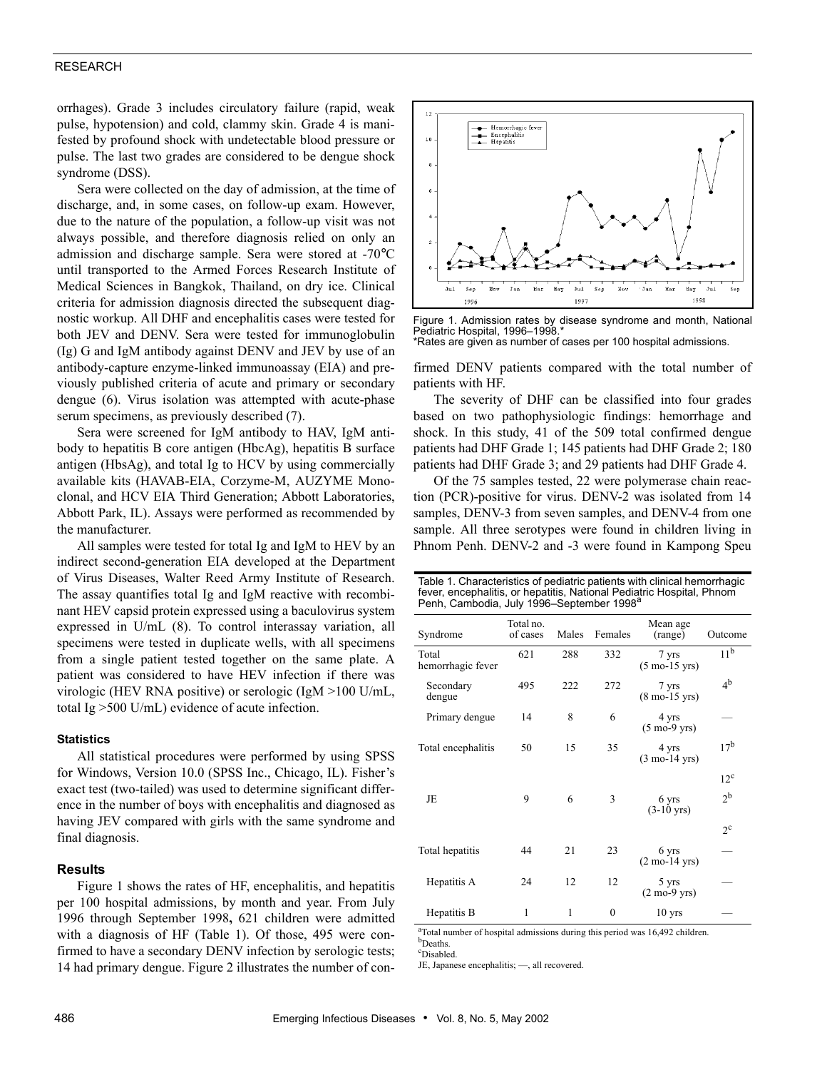## RESEARCH

orrhages). Grade 3 includes circulatory failure (rapid, weak pulse, hypotension) and cold, clammy skin. Grade 4 is manifested by profound shock with undetectable blood pressure or pulse. The last two grades are considered to be dengue shock syndrome (DSS).

Sera were collected on the day of admission, at the time of discharge, and, in some cases, on follow-up exam. However, due to the nature of the population, a follow-up visit was not always possible, and therefore diagnosis relied on only an admission and discharge sample. Sera were stored at -70°C until transported to the Armed Forces Research Institute of Medical Sciences in Bangkok, Thailand, on dry ice. Clinical criteria for admission diagnosis directed the subsequent diagnostic workup. All DHF and encephalitis cases were tested for both JEV and DENV. Sera were tested for immunoglobulin (Ig) G and IgM antibody against DENV and JEV by use of an antibody-capture enzyme-linked immunoassay (EIA) and previously published criteria of acute and primary or secondary dengue (6). Virus isolation was attempted with acute-phase serum specimens, as previously described (7).

Sera were screened for IgM antibody to HAV, IgM antibody to hepatitis B core antigen (HbcAg), hepatitis B surface antigen (HbsAg), and total Ig to HCV by using commercially available kits (HAVAB-EIA, Corzyme-M, AUZYME Monoclonal, and HCV EIA Third Generation; Abbott Laboratories, Abbott Park, IL). Assays were performed as recommended by the manufacturer.

All samples were tested for total Ig and IgM to HEV by an indirect second-generation EIA developed at the Department of Virus Diseases, Walter Reed Army Institute of Research. The assay quantifies total Ig and IgM reactive with recombinant HEV capsid protein expressed using a baculovirus system expressed in U/mL (8). To control interassay variation, all specimens were tested in duplicate wells, with all specimens from a single patient tested together on the same plate. A patient was considered to have HEV infection if there was virologic (HEV RNA positive) or serologic (IgM >100 U/mL, total Ig >500 U/mL) evidence of acute infection.

#### **Statistics**

All statistical procedures were performed by using SPSS for Windows, Version 10.0 (SPSS Inc., Chicago, IL). Fisher's exact test (two-tailed) was used to determine significant difference in the number of boys with encephalitis and diagnosed as having JEV compared with girls with the same syndrome and final diagnosis.

#### **Results**

Figure 1 shows the rates of HF, encephalitis, and hepatitis per 100 hospital admissions, by month and year. From July 1996 through September 1998**,** 621 children were admitted with a diagnosis of HF (Table 1). Of those, 495 were confirmed to have a secondary DENV infection by serologic tests; 14 had primary dengue. Figure 2 illustrates the number of con-



Figure 1. Admission rates by disease syndrome and month, National Pediatric Hospital, 1996-1998.' \*Rates are given as number of cases per 100 hospital admissions.

firmed DENV patients compared with the total number of patients with HF.

The severity of DHF can be classified into four grades based on two pathophysiologic findings: hemorrhage and shock. In this study, 41 of the 509 total confirmed dengue patients had DHF Grade 1; 145 patients had DHF Grade 2; 180 patients had DHF Grade 3; and 29 patients had DHF Grade 4.

Of the 75 samples tested, 22 were polymerase chain reaction (PCR)-positive for virus. DENV-2 was isolated from 14 samples, DENV-3 from seven samples, and DENV-4 from one sample. All three serotypes were found in children living in Phnom Penh. DENV-2 and -3 were found in Kampong Speu

| Table 1. Characteristics of pediatric patients with clinical hemorrhagic<br>fever, encephalitis, or hepatitis, National Pediatric Hospital, Phnom<br>Penh, Cambodia, July 1996-September 1998 <sup>a</sup> |                       |       |              |                                          |                 |  |  |  |  |  |
|------------------------------------------------------------------------------------------------------------------------------------------------------------------------------------------------------------|-----------------------|-------|--------------|------------------------------------------|-----------------|--|--|--|--|--|
| Syndrome                                                                                                                                                                                                   | Total no.<br>of cases | Males | Females      | Outcome                                  |                 |  |  |  |  |  |
| Total<br>hemorrhagic fever                                                                                                                                                                                 | 621                   | 288   | 332          | 7 yrs<br>$(5 \text{ mo-}15 \text{ yrs})$ | 11 <sup>b</sup> |  |  |  |  |  |
| Secondary<br>dengue                                                                                                                                                                                        | 495                   | 222   | 272          | 7 yrs<br>$(8 \text{ mo-}15 \text{ yrs})$ | 4 <sup>b</sup>  |  |  |  |  |  |
| Primary dengue                                                                                                                                                                                             | 14                    | 8     | 6            | 4 yrs<br>$(5 \text{ mo-}9 \text{ yrs})$  |                 |  |  |  |  |  |
| Total encephalitis                                                                                                                                                                                         | 50                    | 15    | 35           | 4 yrs<br>$(3 \text{ mo-}14 \text{ yrs})$ | 17 <sup>b</sup> |  |  |  |  |  |
|                                                                                                                                                                                                            |                       |       |              |                                          | $12^{\circ}$    |  |  |  |  |  |
| JE                                                                                                                                                                                                         | 9                     | 6     | 3            | 6 yrs<br>$(3-10 \text{ yrs})$            | 2 <sup>b</sup>  |  |  |  |  |  |
|                                                                                                                                                                                                            |                       |       |              |                                          | $2^{\rm c}$     |  |  |  |  |  |
| Total hepatitis                                                                                                                                                                                            | 44                    | 21    | 23           | 6 yrs<br>$(2 \text{ mo-14 yrs})$         |                 |  |  |  |  |  |
| Hepatitis A                                                                                                                                                                                                | 24                    | 12    | 12           | 5 yrs<br>$(2 \text{ mo-}9 \text{ yrs})$  |                 |  |  |  |  |  |
| Hepatitis B                                                                                                                                                                                                | 1                     | 1     | $\mathbf{0}$ | $10$ yrs                                 |                 |  |  |  |  |  |

<sup>a</sup>Total number of hospital admissions during this period was 16,492 children. b<sub>Deaths</sub>.

c Disabled.

JE, Japanese encephalitis; —, all recovered.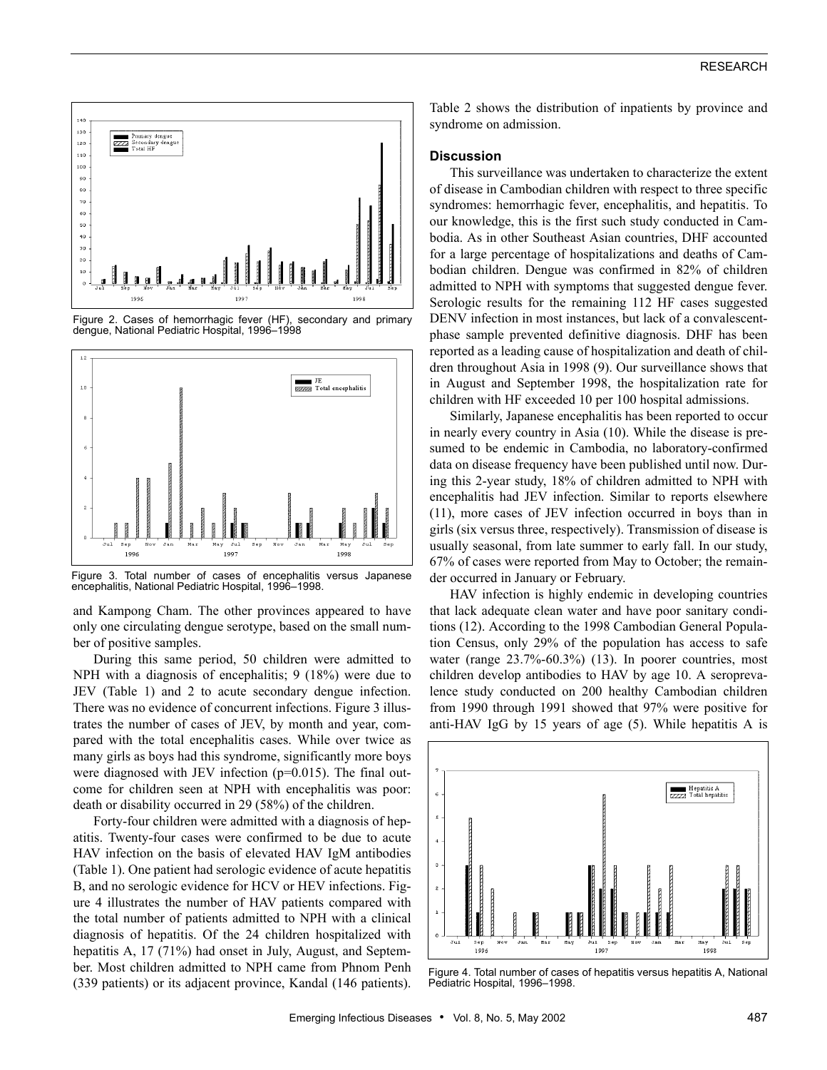

Figure 2. Cases of hemorrhagic fever (HF), secondary and primary dengue, National Pediatric Hospital, 1996–1998



Figure 3. Total number of cases of encephalitis versus Japanese encephalitis, National Pediatric Hospital, 1996–1998.

and Kampong Cham. The other provinces appeared to have only one circulating dengue serotype, based on the small number of positive samples.

During this same period, 50 children were admitted to NPH with a diagnosis of encephalitis; 9 (18%) were due to JEV (Table 1) and 2 to acute secondary dengue infection. There was no evidence of concurrent infections. Figure 3 illustrates the number of cases of JEV, by month and year, compared with the total encephalitis cases. While over twice as many girls as boys had this syndrome, significantly more boys were diagnosed with JEV infection (p=0.015). The final outcome for children seen at NPH with encephalitis was poor: death or disability occurred in 29 (58%) of the children.

Forty-four children were admitted with a diagnosis of hepatitis. Twenty-four cases were confirmed to be due to acute HAV infection on the basis of elevated HAV IgM antibodies (Table 1). One patient had serologic evidence of acute hepatitis B, and no serologic evidence for HCV or HEV infections. Figure 4 illustrates the number of HAV patients compared with the total number of patients admitted to NPH with a clinical diagnosis of hepatitis. Of the 24 children hospitalized with hepatitis A, 17 (71%) had onset in July, August, and September. Most children admitted to NPH came from Phnom Penh (339 patients) or its adjacent province, Kandal (146 patients).

Table 2 shows the distribution of inpatients by province and syndrome on admission.

## **Discussion**

This surveillance was undertaken to characterize the extent of disease in Cambodian children with respect to three specific syndromes: hemorrhagic fever, encephalitis, and hepatitis. To our knowledge, this is the first such study conducted in Cambodia. As in other Southeast Asian countries, DHF accounted for a large percentage of hospitalizations and deaths of Cambodian children. Dengue was confirmed in 82% of children admitted to NPH with symptoms that suggested dengue fever. Serologic results for the remaining 112 HF cases suggested DENV infection in most instances, but lack of a convalescentphase sample prevented definitive diagnosis. DHF has been reported as a leading cause of hospitalization and death of children throughout Asia in 1998 (9). Our surveillance shows that in August and September 1998, the hospitalization rate for children with HF exceeded 10 per 100 hospital admissions.

Similarly, Japanese encephalitis has been reported to occur in nearly every country in Asia (10). While the disease is presumed to be endemic in Cambodia, no laboratory-confirmed data on disease frequency have been published until now. During this 2-year study, 18% of children admitted to NPH with encephalitis had JEV infection. Similar to reports elsewhere (11), more cases of JEV infection occurred in boys than in girls (six versus three, respectively). Transmission of disease is usually seasonal, from late summer to early fall. In our study, 67% of cases were reported from May to October; the remainder occurred in January or February.

HAV infection is highly endemic in developing countries that lack adequate clean water and have poor sanitary conditions (12). According to the 1998 Cambodian General Population Census, only 29% of the population has access to safe water (range 23.7%-60.3%) (13). In poorer countries, most children develop antibodies to HAV by age 10. A seroprevalence study conducted on 200 healthy Cambodian children from 1990 through 1991 showed that 97% were positive for anti-HAV IgG by 15 years of age (5). While hepatitis A is



Figure 4. Total number of cases of hepatitis versus hepatitis A, National Pediatric Hospital, 1996–1998.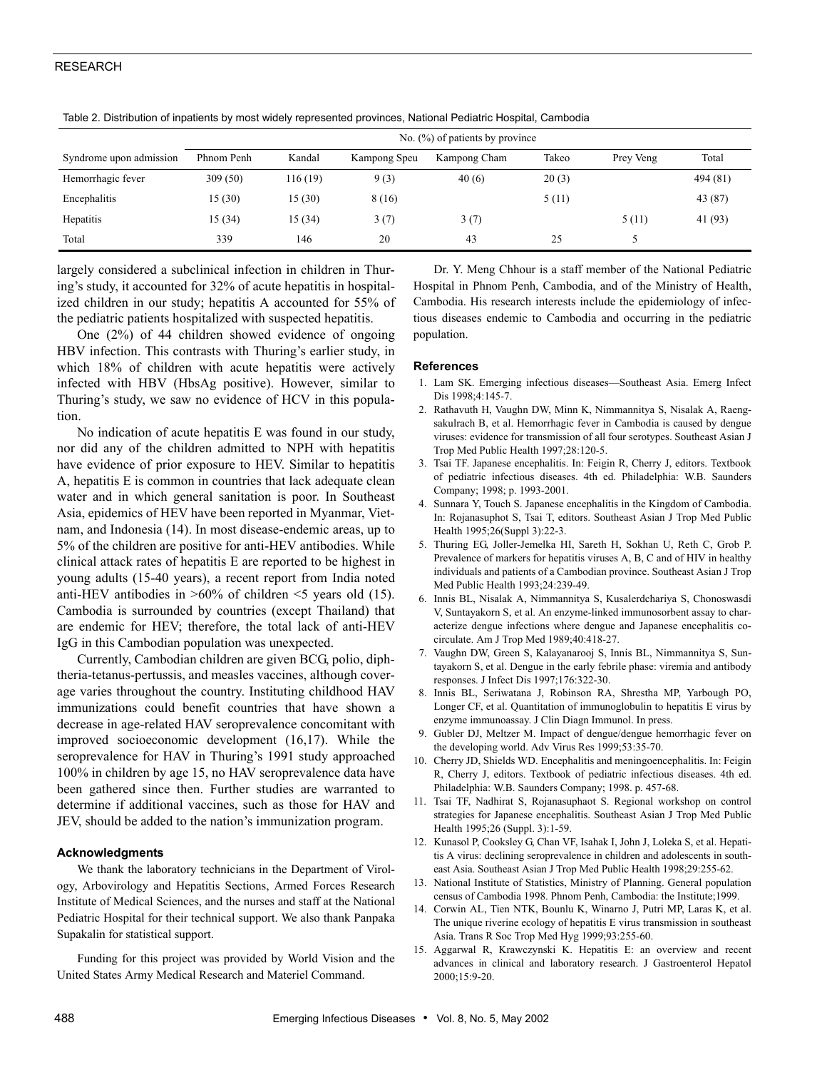## RESEARCH

|                         | No. $(\%)$ of patients by province |          |              |              |       |           |          |  |  |  |
|-------------------------|------------------------------------|----------|--------------|--------------|-------|-----------|----------|--|--|--|
| Syndrome upon admission | Phnom Penh                         | Kandal   | Kampong Speu | Kampong Cham | Takeo | Prey Veng | Total    |  |  |  |
| Hemorrhagic fever       | 309(50)                            | 116 (19) | 9(3)         | 40(6)        | 20(3) |           | 494 (81) |  |  |  |
| Encephalitis            | 15(30)                             | 15(30)   | 8 (16)       |              | 5(11) |           | 43 (87)  |  |  |  |
| Hepatitis               | 15 (34)                            | 15 (34)  | 3(7)         | 3(7)         |       | 5(11)     | 41 (93)  |  |  |  |
| Total                   | 339                                | 146      | 20           | 43           | 25    |           |          |  |  |  |

Table 2. Distribution of inpatients by most widely represented provinces, National Pediatric Hospital, Cambodia

largely considered a subclinical infection in children in Thuring's study, it accounted for 32% of acute hepatitis in hospitalized children in our study; hepatitis A accounted for 55% of the pediatric patients hospitalized with suspected hepatitis.

One (2%) of 44 children showed evidence of ongoing HBV infection. This contrasts with Thuring's earlier study, in which 18% of children with acute hepatitis were actively infected with HBV (HbsAg positive). However, similar to Thuring's study, we saw no evidence of HCV in this population.

No indication of acute hepatitis E was found in our study, nor did any of the children admitted to NPH with hepatitis have evidence of prior exposure to HEV. Similar to hepatitis A, hepatitis E is common in countries that lack adequate clean water and in which general sanitation is poor. In Southeast Asia, epidemics of HEV have been reported in Myanmar, Vietnam, and Indonesia (14). In most disease-endemic areas, up to 5% of the children are positive for anti-HEV antibodies. While clinical attack rates of hepatitis E are reported to be highest in young adults (15-40 years), a recent report from India noted anti-HEV antibodies in  $>60\%$  of children  $<$ 5 years old (15). Cambodia is surrounded by countries (except Thailand) that are endemic for HEV; therefore, the total lack of anti-HEV IgG in this Cambodian population was unexpected.

Currently, Cambodian children are given BCG, polio, diphtheria-tetanus-pertussis, and measles vaccines, although coverage varies throughout the country. Instituting childhood HAV immunizations could benefit countries that have shown a decrease in age-related HAV seroprevalence concomitant with improved socioeconomic development (16,17). While the seroprevalence for HAV in Thuring's 1991 study approached 100% in children by age 15, no HAV seroprevalence data have been gathered since then. Further studies are warranted to determine if additional vaccines, such as those for HAV and JEV, should be added to the nation's immunization program.

### **Acknowledgments**

We thank the laboratory technicians in the Department of Virology, Arbovirology and Hepatitis Sections, Armed Forces Research Institute of Medical Sciences, and the nurses and staff at the National Pediatric Hospital for their technical support. We also thank Panpaka Supakalin for statistical support.

Funding for this project was provided by World Vision and the United States Army Medical Research and Materiel Command.

Dr. Y. Meng Chhour is a staff member of the National Pediatric Hospital in Phnom Penh, Cambodia, and of the Ministry of Health, Cambodia. His research interests include the epidemiology of infectious diseases endemic to Cambodia and occurring in the pediatric population.

#### **References**

- 1. Lam SK. Emerging infectious diseases—Southeast Asia. Emerg Infect Dis 1998;4:145-7.
- 2. Rathavuth H, Vaughn DW, Minn K, Nimmannitya S, Nisalak A, Raengsakulrach B, et al. Hemorrhagic fever in Cambodia is caused by dengue viruses: evidence for transmission of all four serotypes. Southeast Asian J Trop Med Public Health 1997;28:120-5.
- 3. Tsai TF. Japanese encephalitis. In: Feigin R, Cherry J, editors. Textbook of pediatric infectious diseases. 4th ed. Philadelphia: W.B. Saunders Company; 1998; p. 1993-2001.
- 4. Sunnara Y, Touch S. Japanese encephalitis in the Kingdom of Cambodia. In: Rojanasuphot S, Tsai T, editors. Southeast Asian J Trop Med Public Health 1995;26(Suppl 3):22-3.
- 5. Thuring EG, Joller-Jemelka HI, Sareth H, Sokhan U, Reth C, Grob P. Prevalence of markers for hepatitis viruses A, B, C and of HIV in healthy individuals and patients of a Cambodian province. Southeast Asian J Trop Med Public Health 1993;24:239-49.
- 6. Innis BL, Nisalak A, Nimmannitya S, Kusalerdchariya S, Chonoswasdi V, Suntayakorn S, et al. An enzyme-linked immunosorbent assay to characterize dengue infections where dengue and Japanese encephalitis cocirculate. Am J Trop Med 1989;40:418-27.
- 7. Vaughn DW, Green S, Kalayanarooj S, Innis BL, Nimmannitya S, Suntayakorn S, et al. Dengue in the early febrile phase: viremia and antibody responses. J Infect Dis 1997;176:322-30.
- 8. Innis BL, Seriwatana J, Robinson RA, Shrestha MP, Yarbough PO, Longer CF, et al. Quantitation of immunoglobulin to hepatitis E virus by enzyme immunoassay. J Clin Diagn Immunol. In press.
- 9. Gubler DJ, Meltzer M. Impact of dengue/dengue hemorrhagic fever on the developing world. Adv Virus Res 1999;53:35-70.
- 10. Cherry JD, Shields WD. Encephalitis and meningoencephalitis. In: Feigin R, Cherry J, editors. Textbook of pediatric infectious diseases. 4th ed. Philadelphia: W.B. Saunders Company; 1998. p. 457-68.
- 11. Tsai TF, Nadhirat S, Rojanasuphaot S. Regional workshop on control strategies for Japanese encephalitis. Southeast Asian J Trop Med Public Health 1995;26 (Suppl. 3):1-59.
- 12. Kunasol P, Cooksley G, Chan VF, Isahak I, John J, Loleka S, et al. Hepatitis A virus: declining seroprevalence in children and adolescents in southeast Asia. Southeast Asian J Trop Med Public Health 1998;29:255-62.
- 13. National Institute of Statistics, Ministry of Planning. General population census of Cambodia 1998. Phnom Penh, Cambodia: the Institute;1999.
- 14. Corwin AL, Tien NTK, Bounlu K, Winarno J, Putri MP, Laras K, et al. The unique riverine ecology of hepatitis E virus transmission in southeast Asia. Trans R Soc Trop Med Hyg 1999;93:255-60.
- 15. Aggarwal R, Krawczynski K. Hepatitis E: an overview and recent advances in clinical and laboratory research. J Gastroenterol Hepatol 2000;15:9-20.